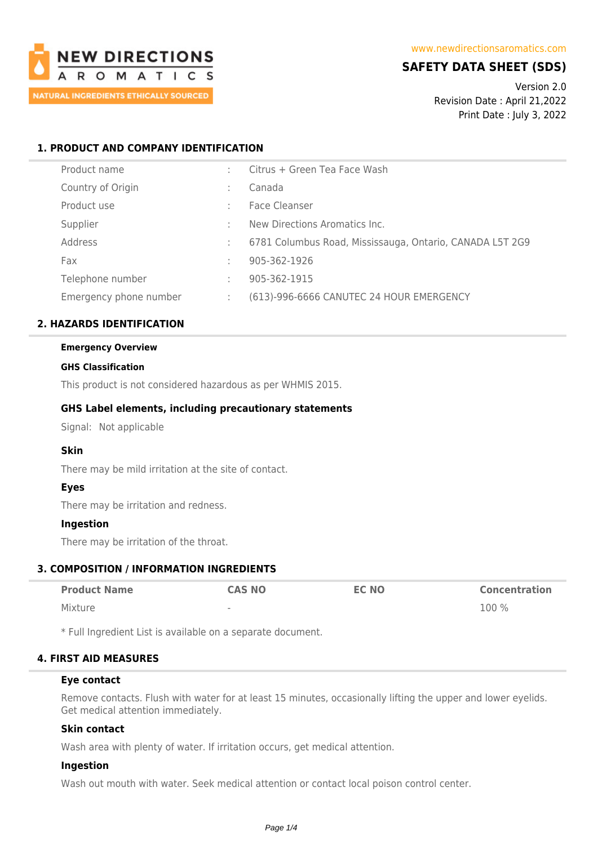

# **SAFETY DATA SHEET (SDS)**

Version 2.0 Revision Date : April 21,2022 Print Date : July 3, 2022

# **1. PRODUCT AND COMPANY IDENTIFICATION**

| Product name           |    | Citrus + Green Tea Face Wash                             |
|------------------------|----|----------------------------------------------------------|
| Country of Origin      |    | Canada                                                   |
| Product use            |    | Face Cleanser                                            |
| Supplier               | ÷  | New Directions Aromatics Inc.                            |
| Address                |    | 6781 Columbus Road, Mississauga, Ontario, CANADA L5T 2G9 |
| Fax                    |    | 905-362-1926                                             |
| Telephone number       | ÷  | 905-362-1915                                             |
| Emergency phone number | ÷. | (613)-996-6666 CANUTEC 24 HOUR EMERGENCY                 |

# **2. HAZARDS IDENTIFICATION**

### **Emergency Overview**

### **GHS Classification**

This product is not considered hazardous as per WHMIS 2015.

# **GHS Label elements, including precautionary statements**

Signal: Not applicable

# **Skin**

There may be mild irritation at the site of contact.

# **Eyes**

There may be irritation and redness.

# **Ingestion**

There may be irritation of the throat.

# **3. COMPOSITION / INFORMATION INGREDIENTS**

| <b>Product Name</b> | <b>CAS NO</b>            | <b>EC NO</b> | <b>Concentration</b> |
|---------------------|--------------------------|--------------|----------------------|
| Mixture             | $\overline{\phantom{a}}$ |              | $100\%$              |

\* Full Ingredient List is available on a separate document.

# **4. FIRST AID MEASURES**

### **Eye contact**

Remove contacts. Flush with water for at least 15 minutes, occasionally lifting the upper and lower eyelids. Get medical attention immediately.

# **Skin contact**

Wash area with plenty of water. If irritation occurs, get medical attention.

# **Ingestion**

Wash out mouth with water. Seek medical attention or contact local poison control center.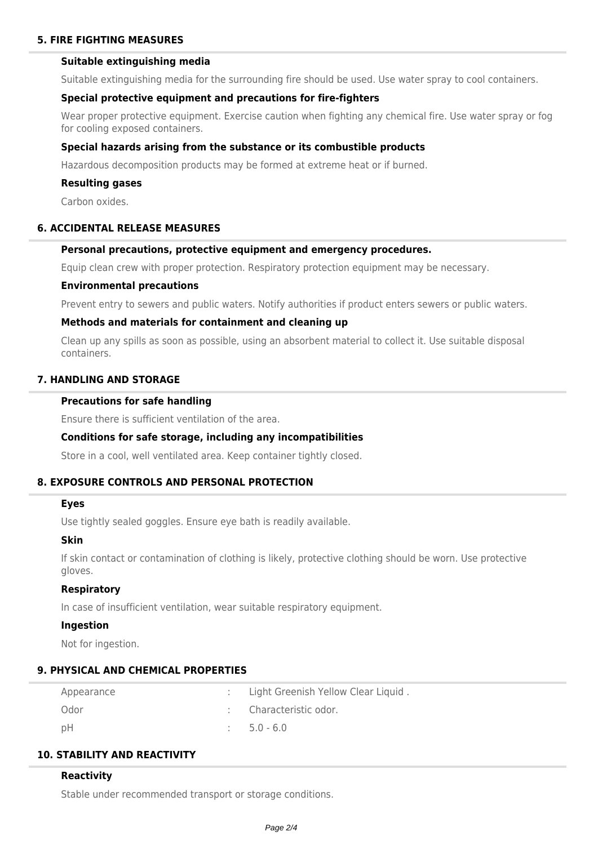# **5. FIRE FIGHTING MEASURES**

# **Suitable extinguishing media**

Suitable extinguishing media for the surrounding fire should be used. Use water spray to cool containers.

## **Special protective equipment and precautions for fire-fighters**

Wear proper protective equipment. Exercise caution when fighting any chemical fire. Use water spray or fog for cooling exposed containers.

## **Special hazards arising from the substance or its combustible products**

Hazardous decomposition products may be formed at extreme heat or if burned.

### **Resulting gases**

Carbon oxides.

# **6. ACCIDENTAL RELEASE MEASURES**

# **Personal precautions, protective equipment and emergency procedures.**

Equip clean crew with proper protection. Respiratory protection equipment may be necessary.

### **Environmental precautions**

Prevent entry to sewers and public waters. Notify authorities if product enters sewers or public waters.

### **Methods and materials for containment and cleaning up**

Clean up any spills as soon as possible, using an absorbent material to collect it. Use suitable disposal containers.

# **7. HANDLING AND STORAGE**

## **Precautions for safe handling**

Ensure there is sufficient ventilation of the area.

# **Conditions for safe storage, including any incompatibilities**

Store in a cool, well ventilated area. Keep container tightly closed.

# **8. EXPOSURE CONTROLS AND PERSONAL PROTECTION**

### **Eyes**

Use tightly sealed goggles. Ensure eye bath is readily available.

### **Skin**

If skin contact or contamination of clothing is likely, protective clothing should be worn. Use protective gloves.

### **Respiratory**

In case of insufficient ventilation, wear suitable respiratory equipment.

## **Ingestion**

Not for ingestion.

# **9. PHYSICAL AND CHEMICAL PROPERTIES**

| Appearance | Light Greenish Yellow Clear Liquid. |
|------------|-------------------------------------|
| Odor       | : Characteristic odor.              |
| pH         | $\pm 5.0 - 6.0$                     |

# **10. STABILITY AND REACTIVITY**

### **Reactivity**

Stable under recommended transport or storage conditions.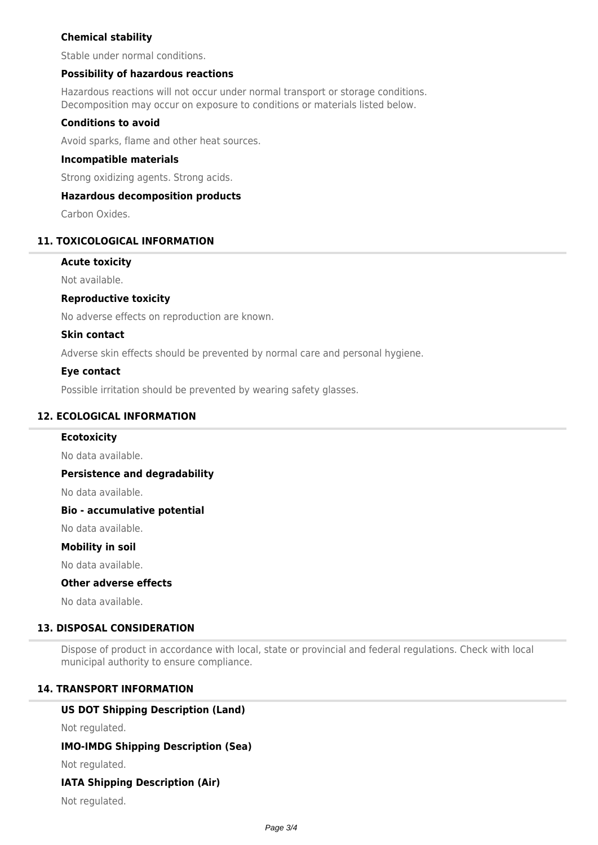# **Chemical stability**

Stable under normal conditions.

# **Possibility of hazardous reactions**

Hazardous reactions will not occur under normal transport or storage conditions. Decomposition may occur on exposure to conditions or materials listed below.

## **Conditions to avoid**

Avoid sparks, flame and other heat sources.

### **Incompatible materials**

Strong oxidizing agents. Strong acids.

# **Hazardous decomposition products**

Carbon Oxides.

# **11. TOXICOLOGICAL INFORMATION**

### **Acute toxicity**

Not available.

# **Reproductive toxicity**

No adverse effects on reproduction are known.

### **Skin contact**

Adverse skin effects should be prevented by normal care and personal hygiene.

### **Eye contact**

Possible irritation should be prevented by wearing safety glasses.

# **12. ECOLOGICAL INFORMATION**

### **Ecotoxicity**

No data available.

### **Persistence and degradability**

No data available.

### **Bio - accumulative potential**

No data available.

### **Mobility in soil**

No data available.

### **Other adverse effects**

No data available.

# **13. DISPOSAL CONSIDERATION**

Dispose of product in accordance with local, state or provincial and federal regulations. Check with local municipal authority to ensure compliance.

# **14. TRANSPORT INFORMATION**

# **US DOT Shipping Description (Land)**

Not regulated.

# **IMO-IMDG Shipping Description (Sea)**

Not regulated.

# **IATA Shipping Description (Air)**

Not regulated.